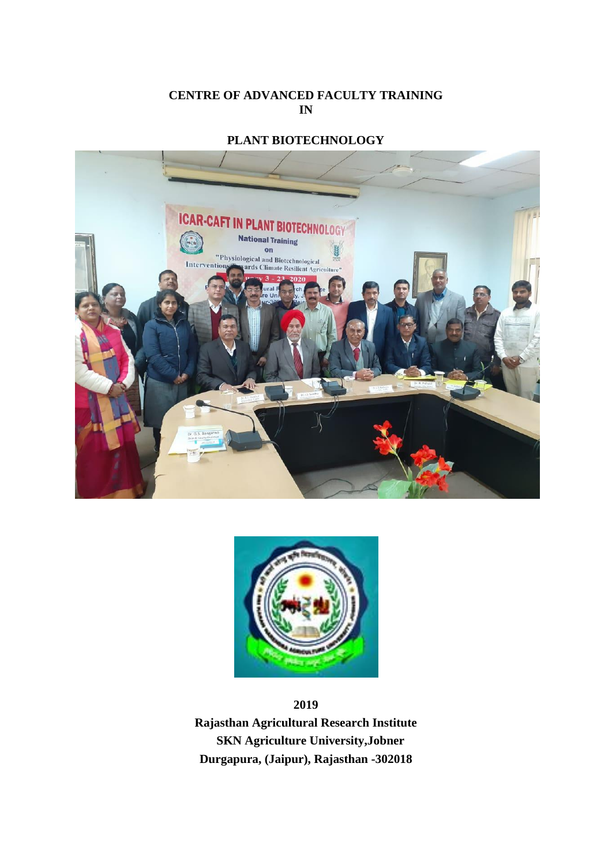### **CENTRE OF ADVANCED FACULTY TRAINING IN**

# **PLANT BIOTECHNOLOGY**





**2019**

**Rajasthan Agricultural Research Institute SKN Agriculture University,Jobner Durgapura, (Jaipur), Rajasthan -302018**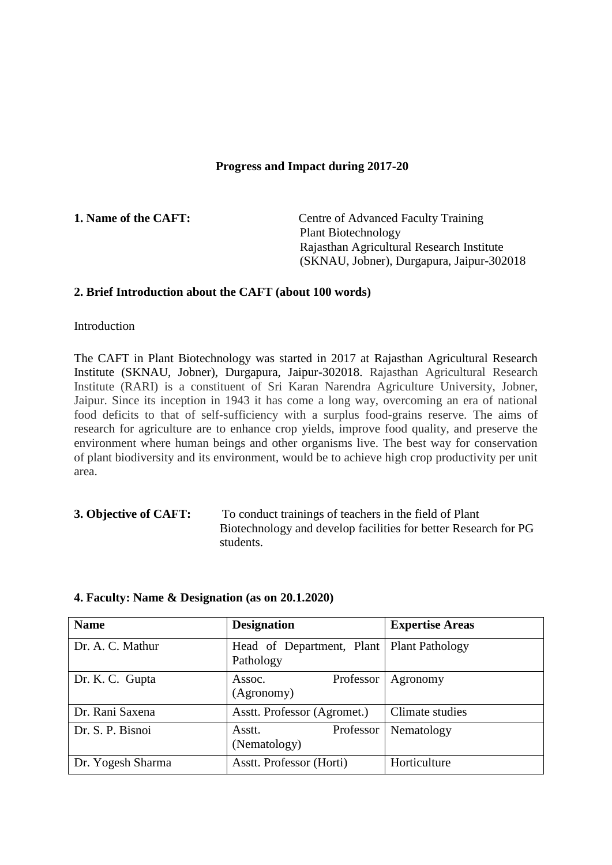#### **Progress and Impact during 2017-20**

**1. Name of the CAFT:** Centre of Advanced Faculty Training Plant Biotechnology Rajasthan Agricultural Research Institute (SKNAU, Jobner), Durgapura, Jaipur-302018

#### **2. Brief Introduction about the CAFT (about 100 words)**

**Introduction** 

The CAFT in Plant Biotechnology was started in 2017 at Rajasthan Agricultural Research Institute (SKNAU, Jobner), Durgapura, Jaipur-302018. Rajasthan Agricultural Research Institute (RARI) is a constituent of Sri Karan Narendra Agriculture University, Jobner, Jaipur. Since its inception in 1943 it has come a long way, overcoming an era of national food deficits to that of self-sufficiency with a surplus food-grains reserve. The aims of research for agriculture are to enhance crop yields, improve food quality, and preserve the environment where human beings and other organisms live. The best way for conservation of plant biodiversity and its environment, would be to achieve high crop productivity per unit area.

**3. Objective of CAFT:** To conduct trainings of teachers in the field of Plant Biotechnology and develop facilities for better Research for PG students.

| <b>Name</b>       | <b>Designation</b>                     | <b>Expertise Areas</b> |
|-------------------|----------------------------------------|------------------------|
| Dr. A. C. Mathur  | Head of Department, Plant<br>Pathology | <b>Plant Pathology</b> |
| Dr. K. C. Gupta   | Professor<br>Assoc.<br>(Agronomy)      | Agronomy               |
| Dr. Rani Saxena   | Asstt. Professor (Agromet.)            | Climate studies        |
| Dr. S. P. Bisnoi  | Professor<br>Asstt.<br>(Nematology)    | Nematology             |
| Dr. Yogesh Sharma | Asstt. Professor (Horti)               | Horticulture           |

#### **4. Faculty: Name & Designation (as on 20.1.2020)**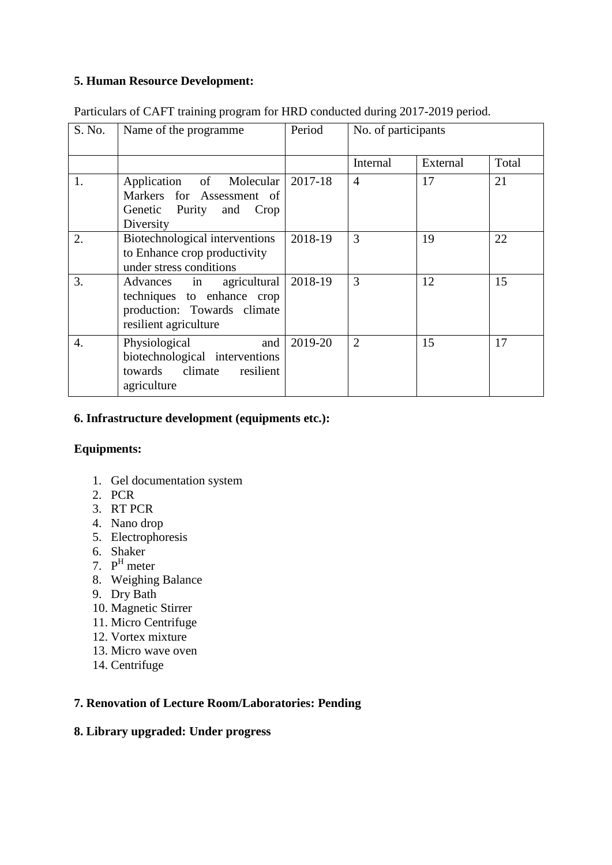## **5. Human Resource Development:**

| S. No. | Name of the programme                                                                                             | Period  | No. of participants |          |       |
|--------|-------------------------------------------------------------------------------------------------------------------|---------|---------------------|----------|-------|
|        |                                                                                                                   |         | Internal            | External | Total |
| 1.     | Application of Molecular<br>Markers for Assessment of<br>Genetic Purity and<br>Crop<br>Diversity                  | 2017-18 | $\overline{4}$      | 17       | 21    |
| 2.     | Biotechnological interventions<br>to Enhance crop productivity<br>under stress conditions                         | 2018-19 | 3                   | 19       | 22    |
| 3.     | agricultural<br>Advances in<br>techniques to enhance crop<br>production: Towards climate<br>resilient agriculture | 2018-19 | 3                   | 12       | 15    |
| 4.     | Physiological<br>and<br>biotechnological interventions<br>towards climate<br>resilient<br>agriculture             | 2019-20 | $\overline{2}$      | 15       | 17    |

Particulars of CAFT training program for HRD conducted during 2017-2019 period.

## **6. Infrastructure development (equipments etc.):**

## **Equipments:**

- 1. Gel documentation system
- 2. PCR
- 3. RT PCR
- 4. Nano drop
- 5. Electrophoresis
- 6. Shaker
- 7. P <sup>H</sup> meter
- 8. Weighing Balance
- 9. Dry Bath
- 10. Magnetic Stirrer
- 11. Micro Centrifuge
- 12. Vortex mixture
- 13. Micro wave oven
- 14. Centrifuge

## **7. Renovation of Lecture Room/Laboratories: Pending**

## **8. Library upgraded: Under progress**